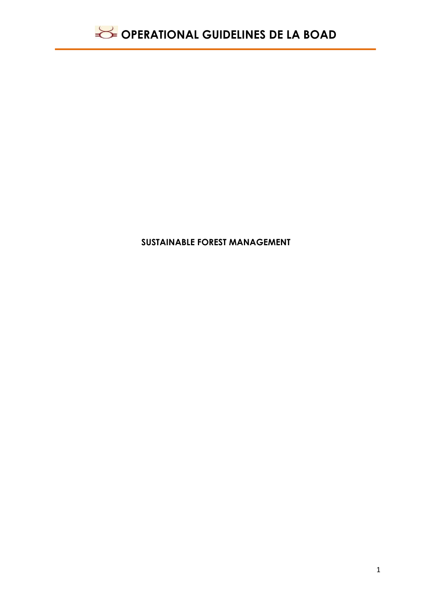

### **SUSTAINABLE FOREST MANAGEMENT**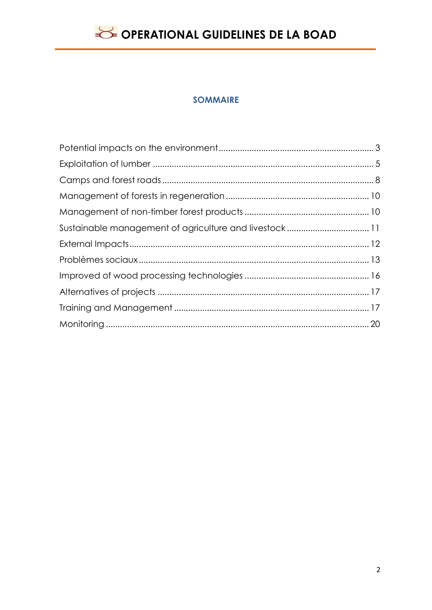### **SOMMAIRE**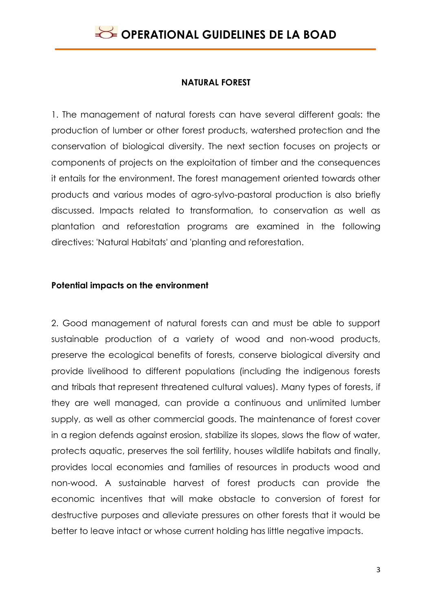#### **NATURAL FOREST**

1. The management of natural forests can have several different goals: the production of lumber or other forest products, watershed protection and the conservation of biological diversity. The next section focuses on projects or components of projects on the exploitation of timber and the consequences it entails for the environment. The forest management oriented towards other products and various modes of agro-sylvo-pastoral production is also briefly discussed. Impacts related to transformation, to conservation as well as plantation and reforestation programs are examined in the following directives: 'Natural Habitats' and 'planting and reforestation.

#### <span id="page-2-0"></span>**Potential impacts on the environment**

2. Good management of natural forests can and must be able to support sustainable production of a variety of wood and non-wood products, preserve the ecological benefits of forests, conserve biological diversity and provide livelihood to different populations (including the indigenous forests and tribals that represent threatened cultural values). Many types of forests, if they are well managed, can provide a continuous and unlimited lumber supply, as well as other commercial goods. The maintenance of forest cover in a region defends against erosion, stabilize its slopes, slows the flow of water, protects aquatic, preserves the soil fertility, houses wildlife habitats and finally, provides local economies and families of resources in products wood and non-wood. A sustainable harvest of forest products can provide the economic incentives that will make obstacle to conversion of forest for destructive purposes and alleviate pressures on other forests that it would be better to leave intact or whose current holding has little negative impacts.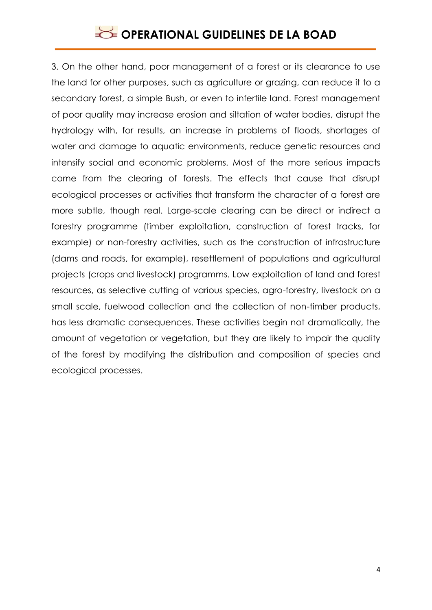3. On the other hand, poor management of a forest or its clearance to use the land for other purposes, such as agriculture or grazing, can reduce it to a secondary forest, a simple Bush, or even to infertile land. Forest management of poor quality may increase erosion and siltation of water bodies, disrupt the hydrology with, for results, an increase in problems of floods, shortages of water and damage to aquatic environments, reduce genetic resources and intensify social and economic problems. Most of the more serious impacts come from the clearing of forests. The effects that cause that disrupt ecological processes or activities that transform the character of a forest are more subtle, though real. Large-scale clearing can be direct or indirect a forestry programme (timber exploitation, construction of forest tracks, for example) or non-forestry activities, such as the construction of infrastructure (dams and roads, for example), resettlement of populations and agricultural projects (crops and livestock) programms. Low exploitation of land and forest resources, as selective cutting of various species, agro-forestry, livestock on a small scale, fuelwood collection and the collection of non-timber products, has less dramatic consequences. These activities begin not dramatically, the amount of vegetation or vegetation, but they are likely to impair the quality of the forest by modifying the distribution and composition of species and ecological processes.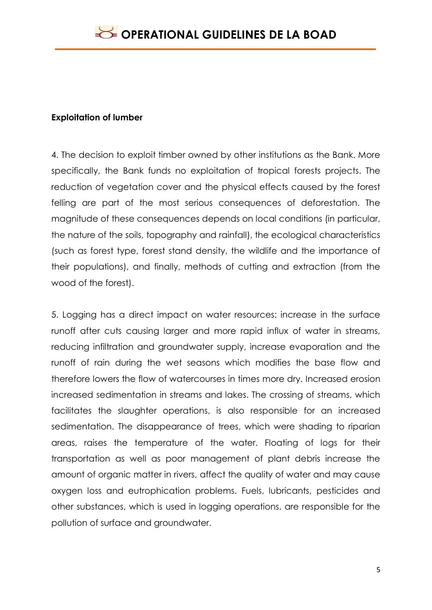### <span id="page-4-0"></span>**Exploitation of lumber**

4. The decision to exploit timber owned by other institutions as the Bank. More specifically, the Bank funds no exploitation of tropical forests projects. The reduction of vegetation cover and the physical effects caused by the forest felling are part of the most serious consequences of deforestation. The magnitude of these consequences depends on local conditions (in particular, the nature of the soils, topography and rainfall), the ecological characteristics (such as forest type, forest stand density, the wildlife and the importance of their populations), and finally, methods of cutting and extraction (from the wood of the forest).

5. Logging has a direct impact on water resources: increase in the surface runoff after cuts causing larger and more rapid influx of water in streams, reducing infiltration and groundwater supply, increase evaporation and the runoff of rain during the wet seasons which modifies the base flow and therefore lowers the flow of watercourses in times more dry. Increased erosion increased sedimentation in streams and lakes. The crossing of streams, which facilitates the slaughter operations, is also responsible for an increased sedimentation. The disappearance of trees, which were shading to riparian areas, raises the temperature of the water. Floating of logs for their transportation as well as poor management of plant debris increase the amount of organic matter in rivers, affect the quality of water and may cause oxygen loss and eutrophication problems. Fuels, lubricants, pesticides and other substances, which is used in logging operations, are responsible for the pollution of surface and groundwater.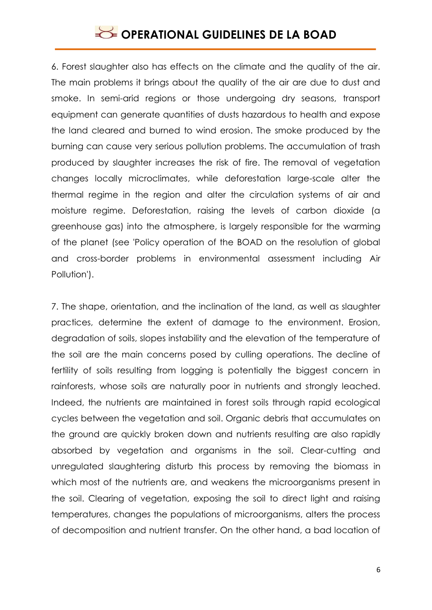6. Forest slaughter also has effects on the climate and the quality of the air. The main problems it brings about the quality of the air are due to dust and smoke. In semi-arid regions or those undergoing dry seasons, transport equipment can generate quantities of dusts hazardous to health and expose the land cleared and burned to wind erosion. The smoke produced by the burning can cause very serious pollution problems. The accumulation of trash produced by slaughter increases the risk of fire. The removal of vegetation changes locally microclimates, while deforestation large-scale alter the thermal regime in the region and alter the circulation systems of air and moisture regime. Deforestation, raising the levels of carbon dioxide (a greenhouse gas) into the atmosphere, is largely responsible for the warming of the planet (see 'Policy operation of the BOAD on the resolution of global and cross-border problems in environmental assessment including Air Pollution').

7. The shape, orientation, and the inclination of the land, as well as slaughter practices, determine the extent of damage to the environment. Erosion, degradation of soils, slopes instability and the elevation of the temperature of the soil are the main concerns posed by culling operations. The decline of fertility of soils resulting from logging is potentially the biggest concern in rainforests, whose soils are naturally poor in nutrients and strongly leached. Indeed, the nutrients are maintained in forest soils through rapid ecological cycles between the vegetation and soil. Organic debris that accumulates on the ground are quickly broken down and nutrients resulting are also rapidly absorbed by vegetation and organisms in the soil. Clear-cutting and unregulated slaughtering disturb this process by removing the biomass in which most of the nutrients are, and weakens the microorganisms present in the soil. Clearing of vegetation, exposing the soil to direct light and raising temperatures, changes the populations of microorganisms, alters the process of decomposition and nutrient transfer. On the other hand, a bad location of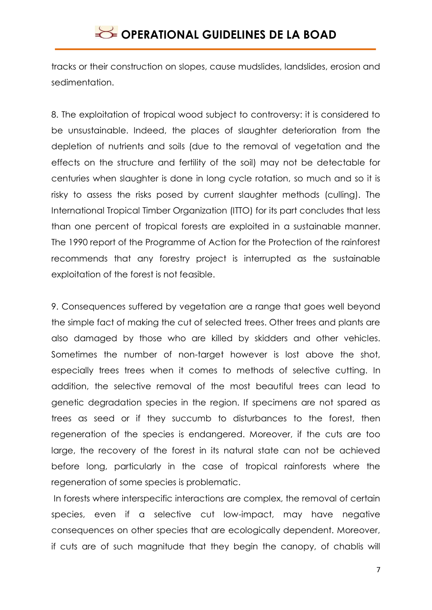tracks or their construction on slopes, cause mudslides, landslides, erosion and sedimentation.

8. The exploitation of tropical wood subject to controversy: it is considered to be unsustainable. Indeed, the places of slaughter deterioration from the depletion of nutrients and soils (due to the removal of vegetation and the effects on the structure and fertility of the soil) may not be detectable for centuries when slaughter is done in long cycle rotation, so much and so it is risky to assess the risks posed by current slaughter methods (culling). The International Tropical Timber Organization (ITTO) for its part concludes that less than one percent of tropical forests are exploited in a sustainable manner. The 1990 report of the Programme of Action for the Protection of the rainforest recommends that any forestry project is interrupted as the sustainable exploitation of the forest is not feasible.

9. Consequences suffered by vegetation are a range that goes well beyond the simple fact of making the cut of selected trees. Other trees and plants are also damaged by those who are killed by skidders and other vehicles. Sometimes the number of non-target however is lost above the shot, especially trees trees when it comes to methods of selective cutting. In addition, the selective removal of the most beautiful trees can lead to genetic degradation species in the region. If specimens are not spared as trees as seed or if they succumb to disturbances to the forest, then regeneration of the species is endangered. Moreover, if the cuts are too large, the recovery of the forest in its natural state can not be achieved before long, particularly in the case of tropical rainforests where the regeneration of some species is problematic.

In forests where interspecific interactions are complex, the removal of certain species, even if a selective cut low-impact, may have negative consequences on other species that are ecologically dependent. Moreover, if cuts are of such magnitude that they begin the canopy, of chablis will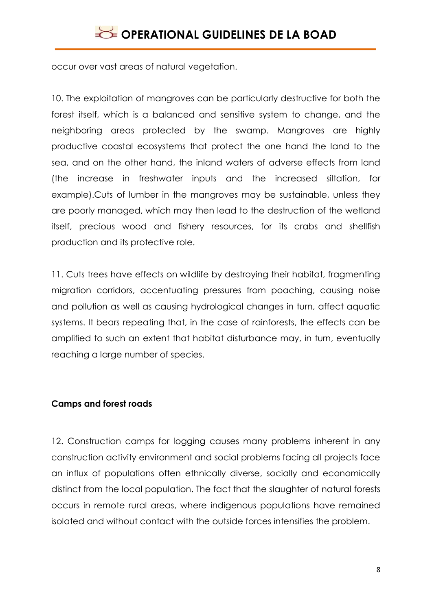occur over vast areas of natural vegetation.

10. The exploitation of mangroves can be particularly destructive for both the forest itself, which is a balanced and sensitive system to change, and the neighboring areas protected by the swamp. Mangroves are highly productive coastal ecosystems that protect the one hand the land to the sea, and on the other hand, the inland waters of adverse effects from land (the increase in freshwater inputs and the increased siltation, for example).Cuts of lumber in the mangroves may be sustainable, unless they are poorly managed, which may then lead to the destruction of the wetland itself, precious wood and fishery resources, for its crabs and shellfish production and its protective role.

11. Cuts trees have effects on wildlife by destroying their habitat, fragmenting migration corridors, accentuating pressures from poaching, causing noise and pollution as well as causing hydrological changes in turn, affect aquatic systems. It bears repeating that, in the case of rainforests, the effects can be amplified to such an extent that habitat disturbance may, in turn, eventually reaching a large number of species.

### <span id="page-7-0"></span>**Camps and forest roads**

12. Construction camps for logging causes many problems inherent in any construction activity environment and social problems facing all projects face an influx of populations often ethnically diverse, socially and economically distinct from the local population. The fact that the slaughter of natural forests occurs in remote rural areas, where indigenous populations have remained isolated and without contact with the outside forces intensifies the problem.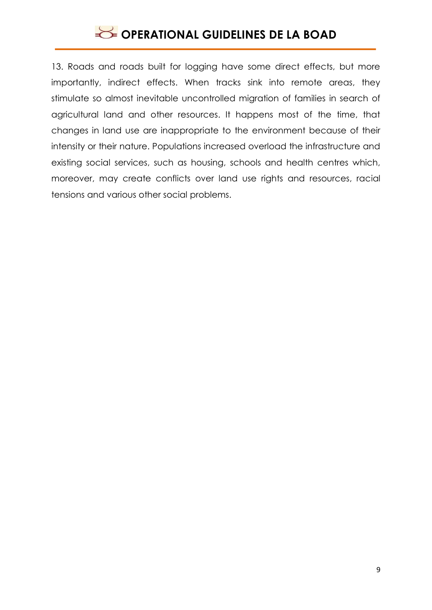13. Roads and roads built for logging have some direct effects, but more importantly, indirect effects. When tracks sink into remote areas, they stimulate so almost inevitable uncontrolled migration of families in search of agricultural land and other resources. It happens most of the time, that changes in land use are inappropriate to the environment because of their intensity or their nature. Populations increased overload the infrastructure and existing social services, such as housing, schools and health centres which, moreover, may create conflicts over land use rights and resources, racial tensions and various other social problems.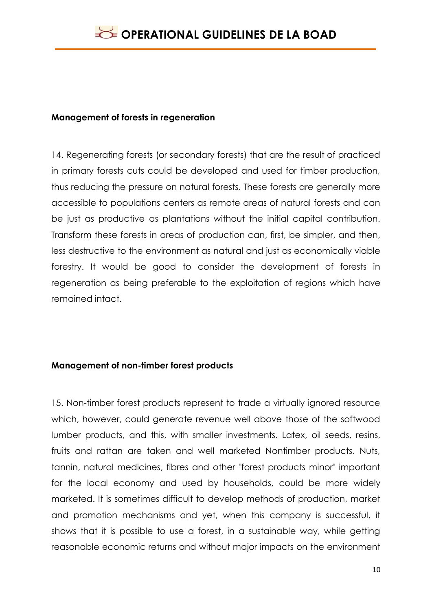#### <span id="page-9-0"></span>**Management of forests in regeneration**

14. Regenerating forests (or secondary forests) that are the result of practiced in primary forests cuts could be developed and used for timber production, thus reducing the pressure on natural forests. These forests are generally more accessible to populations centers as remote areas of natural forests and can be just as productive as plantations without the initial capital contribution. Transform these forests in areas of production can, first, be simpler, and then, less destructive to the environment as natural and just as economically viable forestry. It would be good to consider the development of forests in regeneration as being preferable to the exploitation of regions which have remained intact.

### <span id="page-9-1"></span>**Management of non-timber forest products**

15. Non-timber forest products represent to trade a virtually ignored resource which, however, could generate revenue well above those of the softwood lumber products, and this, with smaller investments. Latex, oil seeds, resins, fruits and rattan are taken and well marketed Nontimber products. Nuts, tannin, natural medicines, fibres and other "forest products minor" important for the local economy and used by households, could be more widely marketed. It is sometimes difficult to develop methods of production, market and promotion mechanisms and yet, when this company is successful, it shows that it is possible to use a forest, in a sustainable way, while getting reasonable economic returns and without major impacts on the environment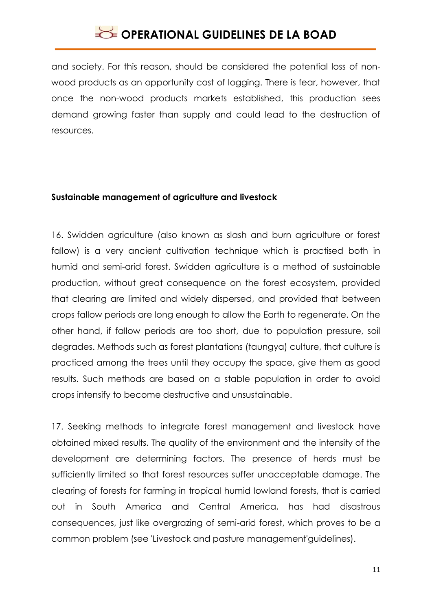and society. For this reason, should be considered the potential loss of nonwood products as an opportunity cost of logging. There is fear, however, that once the non-wood products markets established, this production sees demand growing faster than supply and could lead to the destruction of resources.

#### <span id="page-10-0"></span>**Sustainable management of agriculture and livestock**

16. Swidden agriculture (also known as slash and burn agriculture or forest fallow) is a very ancient cultivation technique which is practised both in humid and semi-arid forest. Swidden agriculture is a method of sustainable production, without great consequence on the forest ecosystem, provided that clearing are limited and widely dispersed, and provided that between crops fallow periods are long enough to allow the Earth to regenerate. On the other hand, if fallow periods are too short, due to population pressure, soil degrades. Methods such as forest plantations (taungya) culture, that culture is practiced among the trees until they occupy the space, give them as good results. Such methods are based on a stable population in order to avoid crops intensify to become destructive and unsustainable.

17. Seeking methods to integrate forest management and livestock have obtained mixed results. The quality of the environment and the intensity of the development are determining factors. The presence of herds must be sufficiently limited so that forest resources suffer unacceptable damage. The clearing of forests for farming in tropical humid lowland forests, that is carried out in South America and Central America, has had disastrous consequences, just like overgrazing of semi-arid forest, which proves to be a common problem (see 'Livestock and pasture management'guidelines).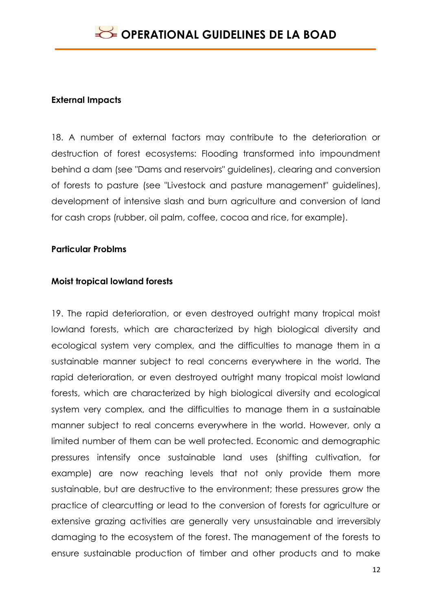#### <span id="page-11-0"></span>**External Impacts**

18. A number of external factors may contribute to the deterioration or destruction of forest ecosystems: Flooding transformed into impoundment behind a dam (see "Dams and reservoirs" guidelines), clearing and conversion of forests to pasture (see "Livestock and pasture management" guidelines), development of intensive slash and burn agriculture and conversion of land for cash crops (rubber, oil palm, coffee, cocoa and rice, for example).

#### **Particular Problms**

#### **Moist tropical lowland forests**

19. The rapid deterioration, or even destroyed outright many tropical moist lowland forests, which are characterized by high biological diversity and ecological system very complex, and the difficulties to manage them in a sustainable manner subject to real concerns everywhere in the world. The rapid deterioration, or even destroyed outright many tropical moist lowland forests, which are characterized by high biological diversity and ecological system very complex, and the difficulties to manage them in a sustainable manner subject to real concerns everywhere in the world. However, only a limited number of them can be well protected. Economic and demographic pressures intensify once sustainable land uses (shifting cultivation, for example) are now reaching levels that not only provide them more sustainable, but are destructive to the environment; these pressures grow the practice of clearcutting or lead to the conversion of forests for agriculture or extensive grazing activities are generally very unsustainable and irreversibly damaging to the ecosystem of the forest. The management of the forests to ensure sustainable production of timber and other products and to make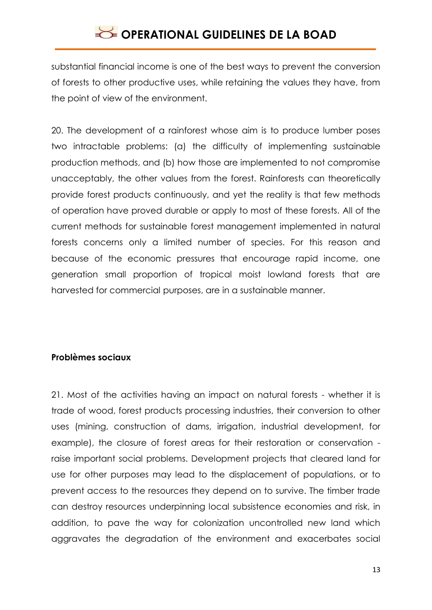substantial financial income is one of the best ways to prevent the conversion of forests to other productive uses, while retaining the values they have, from the point of view of the environment.

20. The development of a rainforest whose aim is to produce lumber poses two intractable problems: (a) the difficulty of implementing sustainable production methods, and (b) how those are implemented to not compromise unacceptably, the other values from the forest. Rainforests can theoretically provide forest products continuously, and yet the reality is that few methods of operation have proved durable or apply to most of these forests. All of the current methods for sustainable forest management implemented in natural forests concerns only a limited number of species. For this reason and because of the economic pressures that encourage rapid income, one generation small proportion of tropical moist lowland forests that are harvested for commercial purposes, are in a sustainable manner.

### <span id="page-12-0"></span>**Problèmes sociaux**

21. Most of the activities having an impact on natural forests - whether it is trade of wood, forest products processing industries, their conversion to other uses (mining, construction of dams, irrigation, industrial development, for example), the closure of forest areas for their restoration or conservation raise important social problems. Development projects that cleared land for use for other purposes may lead to the displacement of populations, or to prevent access to the resources they depend on to survive. The timber trade can destroy resources underpinning local subsistence economies and risk, in addition, to pave the way for colonization uncontrolled new land which aggravates the degradation of the environment and exacerbates social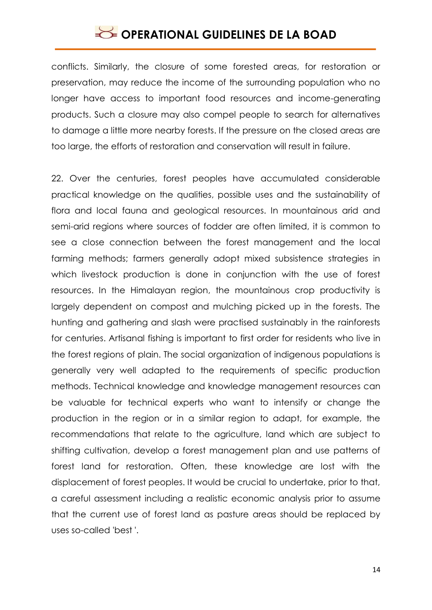conflicts. Similarly, the closure of some forested areas, for restoration or preservation, may reduce the income of the surrounding population who no longer have access to important food resources and income-generating products. Such a closure may also compel people to search for alternatives to damage a little more nearby forests. If the pressure on the closed areas are too large, the efforts of restoration and conservation will result in failure.

22. Over the centuries, forest peoples have accumulated considerable practical knowledge on the qualities, possible uses and the sustainability of flora and local fauna and geological resources. In mountainous arid and semi-arid regions where sources of fodder are often limited, it is common to see a close connection between the forest management and the local farming methods; farmers generally adopt mixed subsistence strategies in which livestock production is done in conjunction with the use of forest resources. In the Himalayan region, the mountainous crop productivity is largely dependent on compost and mulching picked up in the forests. The hunting and gathering and slash were practised sustainably in the rainforests for centuries. Artisanal fishing is important to first order for residents who live in the forest regions of plain. The social organization of indigenous populations is generally very well adapted to the requirements of specific production methods. Technical knowledge and knowledge management resources can be valuable for technical experts who want to intensify or change the production in the region or in a similar region to adapt, for example, the recommendations that relate to the agriculture, land which are subject to shifting cultivation, develop a forest management plan and use patterns of forest land for restoration. Often, these knowledge are lost with the displacement of forest peoples. It would be crucial to undertake, prior to that, a careful assessment including a realistic economic analysis prior to assume that the current use of forest land as pasture areas should be replaced by uses so-called 'best '.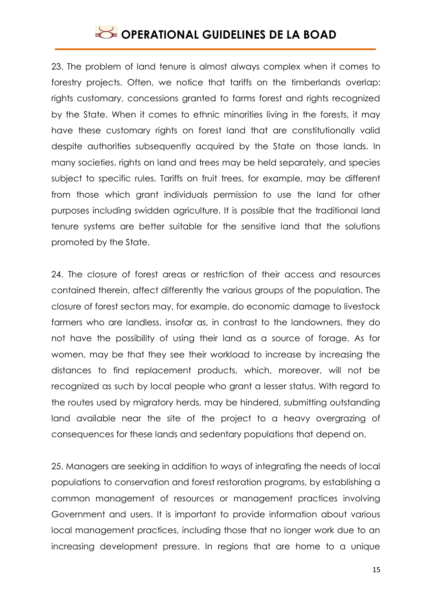23. The problem of land tenure is almost always complex when it comes to forestry projects. Often, we notice that tariffs on the timberlands overlap: rights customary, concessions granted to farms forest and rights recognized by the State. When it comes to ethnic minorities living in the forests, it may have these customary rights on forest land that are constitutionally valid despite authorities subsequently acquired by the State on those lands. In many societies, rights on land and trees may be held separately, and species subject to specific rules. Tariffs on fruit trees, for example, may be different from those which grant individuals permission to use the land for other purposes including swidden agriculture. It is possible that the traditional land tenure systems are better suitable for the sensitive land that the solutions promoted by the State.

24. The closure of forest areas or restriction of their access and resources contained therein, affect differently the various groups of the population. The closure of forest sectors may, for example, do economic damage to livestock farmers who are landless, insofar as, in contrast to the landowners, they do not have the possibility of using their land as a source of forage. As for women, may be that they see their workload to increase by increasing the distances to find replacement products, which, moreover, will not be recognized as such by local people who grant a lesser status. With regard to the routes used by migratory herds, may be hindered, submitting outstanding land available near the site of the project to a heavy overgrazing of consequences for these lands and sedentary populations that depend on.

25. Managers are seeking in addition to ways of integrating the needs of local populations to conservation and forest restoration programs, by establishing a common management of resources or management practices involving Government and users. It is important to provide information about various local management practices, including those that no longer work due to an increasing development pressure. In regions that are home to a unique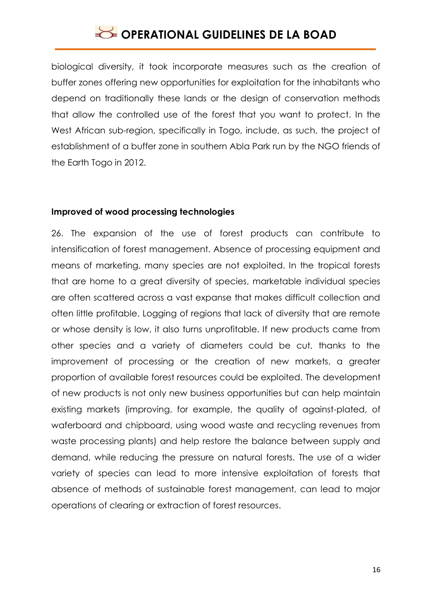biological diversity, it took incorporate measures such as the creation of buffer zones offering new opportunities for exploitation for the inhabitants who depend on traditionally these lands or the design of conservation methods that allow the controlled use of the forest that you want to protect. In the West African sub-region, specifically in Togo, include, as such, the project of establishment of a buffer zone in southern Abla Park run by the NGO friends of the Earth Togo in 2012.

#### <span id="page-15-0"></span>**Improved of wood processing technologies**

26. The expansion of the use of forest products can contribute to intensification of forest management. Absence of processing equipment and means of marketing, many species are not exploited. In the tropical forests that are home to a great diversity of species, marketable individual species are often scattered across a vast expanse that makes difficult collection and often little profitable. Logging of regions that lack of diversity that are remote or whose density is low, it also turns unprofitable. If new products came from other species and a variety of diameters could be cut, thanks to the improvement of processing or the creation of new markets, a greater proportion of available forest resources could be exploited. The development of new products is not only new business opportunities but can help maintain existing markets (improving, for example, the quality of against-plated, of waferboard and chipboard, using wood waste and recycling revenues from waste processing plants) and help restore the balance between supply and demand, while reducing the pressure on natural forests. The use of a wider variety of species can lead to more intensive exploitation of forests that absence of methods of sustainable forest management, can lead to major operations of clearing or extraction of forest resources.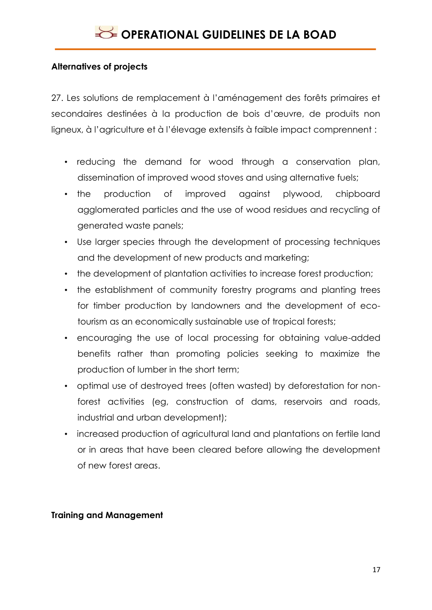### **Alternatives of projects**

<span id="page-16-0"></span>27. Les solutions de remplacement à l'aménagement des forêts primaires et secondaires destinées à la production de bois d'œuvre, de produits non ligneux, à l'agriculture et à l'élevage extensifs à faible impact comprennent :

- reducing the demand for wood through a conservation plan, dissemination of improved wood stoves and using alternative fuels;
- the production of improved against plywood, chipboard agglomerated particles and the use of wood residues and recycling of generated waste panels;
- Use larger species through the development of processing techniques and the development of new products and marketing;
- the development of plantation activities to increase forest production;
- the establishment of community forestry programs and planting trees for timber production by landowners and the development of ecotourism as an economically sustainable use of tropical forests;
- encouraging the use of local processing for obtaining value-added benefits rather than promoting policies seeking to maximize the production of lumber in the short term;
- optimal use of destroyed trees (often wasted) by deforestation for nonforest activities (eg, construction of dams, reservoirs and roads, industrial and urban development);
- increased production of agricultural land and plantations on fertile land or in areas that have been cleared before allowing the development of new forest areas.

### <span id="page-16-1"></span>**Training and Management**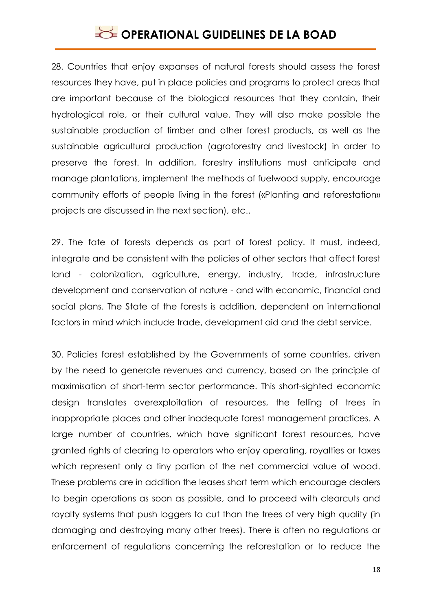28. Countries that enjoy expanses of natural forests should assess the forest resources they have, put in place policies and programs to protect areas that are important because of the biological resources that they contain, their hydrological role, or their cultural value. They will also make possible the sustainable production of timber and other forest products, as well as the sustainable agricultural production (agroforestry and livestock) in order to preserve the forest. In addition, forestry institutions must anticipate and manage plantations, implement the methods of fuelwood supply, encourage community efforts of people living in the forest («Planting and reforestation» projects are discussed in the next section), etc..

29. The fate of forests depends as part of forest policy. It must, indeed, integrate and be consistent with the policies of other sectors that affect forest land - colonization, agriculture, energy, industry, trade, infrastructure development and conservation of nature - and with economic, financial and social plans. The State of the forests is addition, dependent on international factors in mind which include trade, development aid and the debt service.

30. Policies forest established by the Governments of some countries, driven by the need to generate revenues and currency, based on the principle of maximisation of short-term sector performance. This short-sighted economic design translates overexploitation of resources, the felling of trees in inappropriate places and other inadequate forest management practices. A large number of countries, which have significant forest resources, have granted rights of clearing to operators who enjoy operating, royalties or taxes which represent only a tiny portion of the net commercial value of wood. These problems are in addition the leases short term which encourage dealers to begin operations as soon as possible, and to proceed with clearcuts and royalty systems that push loggers to cut than the trees of very high quality (in damaging and destroying many other trees). There is often no regulations or enforcement of regulations concerning the reforestation or to reduce the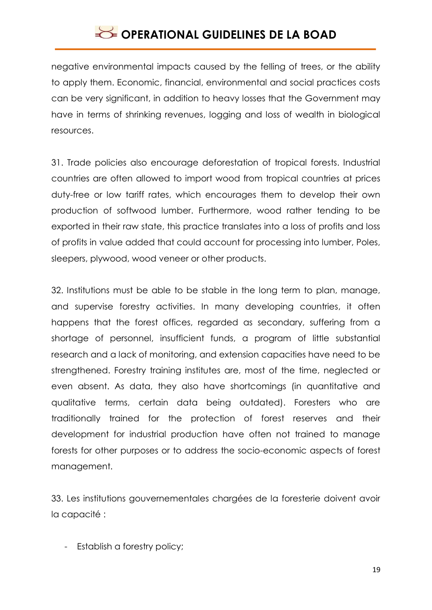negative environmental impacts caused by the felling of trees, or the ability to apply them. Economic, financial, environmental and social practices costs can be very significant, in addition to heavy losses that the Government may have in terms of shrinking revenues, logging and loss of wealth in biological resources.

31. Trade policies also encourage deforestation of tropical forests. Industrial countries are often allowed to import wood from tropical countries at prices duty-free or low tariff rates, which encourages them to develop their own production of softwood lumber. Furthermore, wood rather tending to be exported in their raw state, this practice translates into a loss of profits and loss of profits in value added that could account for processing into lumber, Poles, sleepers, plywood, wood veneer or other products.

32. Institutions must be able to be stable in the long term to plan, manage, and supervise forestry activities. In many developing countries, it often happens that the forest offices, regarded as secondary, suffering from a shortage of personnel, insufficient funds, a program of little substantial research and a lack of monitoring, and extension capacities have need to be strengthened. Forestry training institutes are, most of the time, neglected or even absent. As data, they also have shortcomings (in quantitative and qualitative terms, certain data being outdated). Foresters who are traditionally trained for the protection of forest reserves and their development for industrial production have often not trained to manage forests for other purposes or to address the socio-economic aspects of forest management.

33. Les institutions gouvernementales chargées de la foresterie doivent avoir la capacité :

- Establish a forestry policy;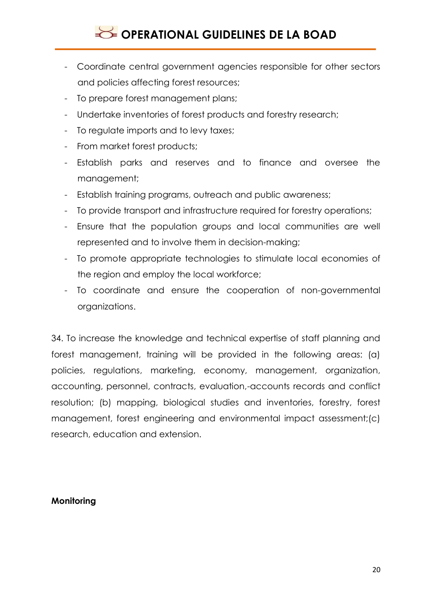- Coordinate central government agencies responsible for other sectors and policies affecting forest resources;
- To prepare forest management plans;
- Undertake inventories of forest products and forestry research;
- To regulate imports and to levy taxes;
- From market forest products;
- Establish parks and reserves and to finance and oversee the management;
- Establish training programs, outreach and public awareness;
- To provide transport and infrastructure required for forestry operations;
- Ensure that the population groups and local communities are well represented and to involve them in decision-making;
- To promote appropriate technologies to stimulate local economies of the region and employ the local workforce;
- To coordinate and ensure the cooperation of non-governmental organizations.

34. To increase the knowledge and technical expertise of staff planning and forest management, training will be provided in the following areas: (a) policies, regulations, marketing, economy, management, organization, accounting, personnel, contracts, evaluation,-accounts records and conflict resolution; (b) mapping, biological studies and inventories, forestry, forest management, forest engineering and environmental impact assessment;(c) research, education and extension.

### <span id="page-19-0"></span>**Monitoring**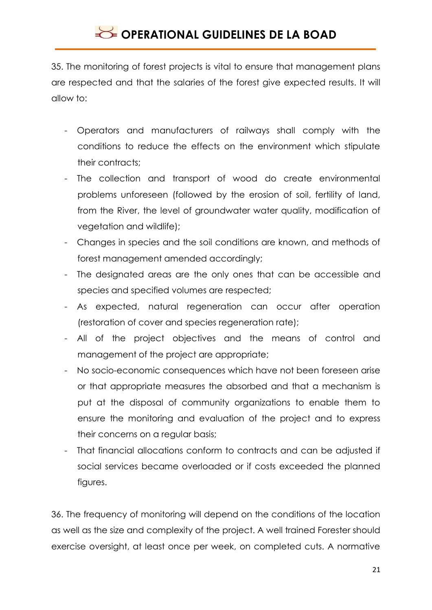35. The monitoring of forest projects is vital to ensure that management plans are respected and that the salaries of the forest give expected results. It will allow to:

- Operators and manufacturers of railways shall comply with the conditions to reduce the effects on the environment which stipulate their contracts;
- The collection and transport of wood do create environmental problems unforeseen (followed by the erosion of soil, fertility of land, from the River, the level of groundwater water quality, modification of vegetation and wildlife);
- Changes in species and the soil conditions are known, and methods of forest management amended accordingly;
- The designated areas are the only ones that can be accessible and species and specified volumes are respected;
- As expected, natural regeneration can occur after operation (restoration of cover and species regeneration rate);
- All of the project objectives and the means of control and management of the project are appropriate;
- No socio-economic consequences which have not been foreseen arise or that appropriate measures the absorbed and that a mechanism is put at the disposal of community organizations to enable them to ensure the monitoring and evaluation of the project and to express their concerns on a regular basis;
- That financial allocations conform to contracts and can be adjusted if social services became overloaded or if costs exceeded the planned figures.

36. The frequency of monitoring will depend on the conditions of the location as well as the size and complexity of the project. A well trained Forester should exercise oversight, at least once per week, on completed cuts. A normative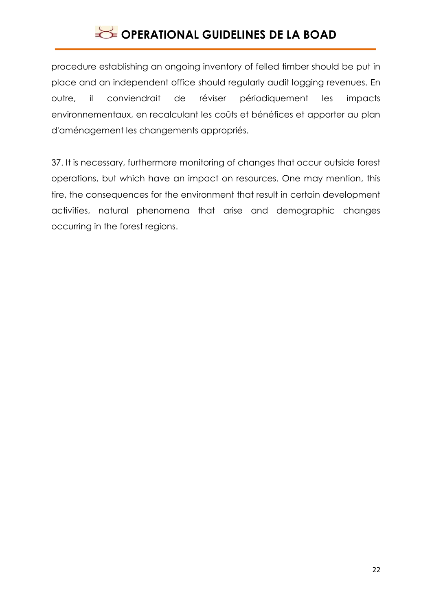procedure establishing an ongoing inventory of felled timber should be put in place and an independent office should regularly audit logging revenues. En outre, il conviendrait de réviser périodiquement les impacts environnementaux, en recalculant les coûts et bénéfices et apporter au plan d'aménagement les changements appropriés.

37. It is necessary, furthermore monitoring of changes that occur outside forest operations, but which have an impact on resources. One may mention, this tire, the consequences for the environment that result in certain development activities, natural phenomena that arise and demographic changes occurring in the forest regions.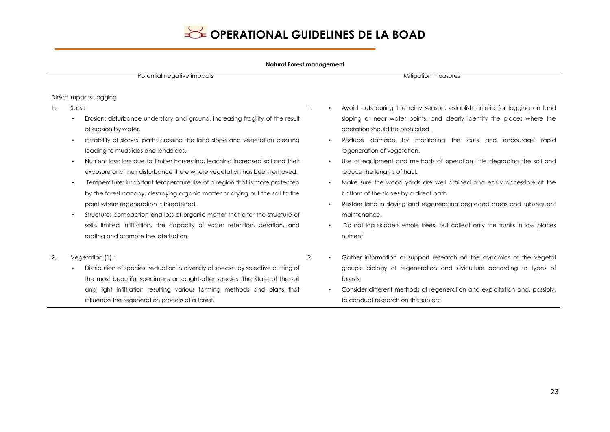

#### **Natural Forest management**

Potential negative impacts and the state of the state of the state of the Mitigation measures Mitigation measures

#### Direct impacts: logging

- 1. Soils :
	- Erosion: disturbance understory and ground, increasing fragility of the result of erosion by water.
	- instability of slopes: paths crossing the land slope and vegetation clearing leading to mudslides and landslides.
	- Nutrient loss: loss due to timber harvesting, leaching increased soil and their exposure and their disturbance there where vegetation has been removed.
	- Temperature: important temperature rise of a region that is more protected by the forest canopy, destroying organic matter or drying out the soil to the point where regeneration is threatened.
	- Structure: compaction and loss of organic matter that alter the structure of soils, limited infiltration, the capacity of water retention, aeration, and rooting and promote the laterization.
- 2. Vegetation (1) :
	- Distribution of species: reduction in diversity of species by selective cutting of the most beautiful specimens or sought-after species. The State of the soil and light infiltration resulting various farming methods and plans that influence the regeneration process of a forest.
- 1. Avoid cuts during the rainy season, establish criteria for logging on land sloping or near water points, and clearly identify the places where the operation should be prohibited.
	- Reduce damage by monitoring the culls and encourage rapid regeneration of vegetation.
	- Use of equipment and methods of operation little degrading the soil and reduce the lengths of haul.
	- Make sure the wood yards are well drained and easily accessible at the bottom of the slopes by a direct path.
	- Restore land in slaying and regenerating degraded areas and subsequent maintenance.
	- Do not log skidders whole trees, but collect only the trunks in low places nutrient.
- 2. Gather information or support research on the dynamics of the vegetal groups, biology of regeneration and silviculture according to types of forests.
	- Consider different methods of regeneration and exploitation and, possibly, to conduct research on this subject.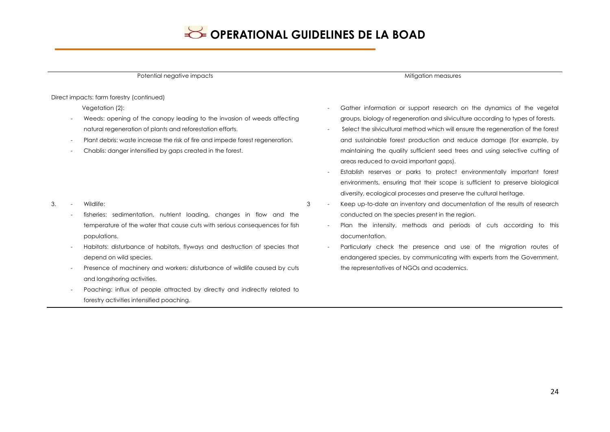Potential negative impacts and the state of the state of the state of the Mitigation measures Mitigation measures Vegetation (2): Weeds: opening of the canopy leading to the invasion of weeds affecting natural regeneration of plants and reforestation efforts. Plant debris: waste increase the risk of fire and impede forest regeneration. - Chablis: danger intensified by gaps created in the forest. areas reduced to avoid important gaps). diversity, ecological processes and preserve the cultural heritage. fisheries: sedimentation, nutrient loading, changes in flow and the temperature of the water that cause cuts with serious consequences for fish populations. 3 - Keep up-to-date an inventory and documentation of the results of research conducted on the species present in the region. documentation.

the representatives of NGOs and academics.

Direct impacts: farm forestry (continued)

- 3. Wildlife:
	- Habitats: disturbance of habitats, flyways and destruction of species that depend on wild species.
	- Presence of machinery and workers: disturbance of wildlife caused by cuts and longshoring activities.
	- Poaching: influx of people attracted by directly and indirectly related to forestry activities intensified poaching.
- Gather information or support research on the dynamics of the vegetal groups, biology of regeneration and silviculture according to types of forests.
- Select the silvicultural method which will ensure the regeneration of the forest and sustainable forest production and reduce damage (for example, by maintaining the quality sufficient seed trees and using selective cutting of
- Establish reserves or parks to protect environmentally important forest environments, ensuring that their scope is sufficient to preserve biological
- 
- Plan the intensity, methods and periods of cuts according to this
- Particularly check the presence and use of the migration routes of endangered species, by communicating with experts from the Government,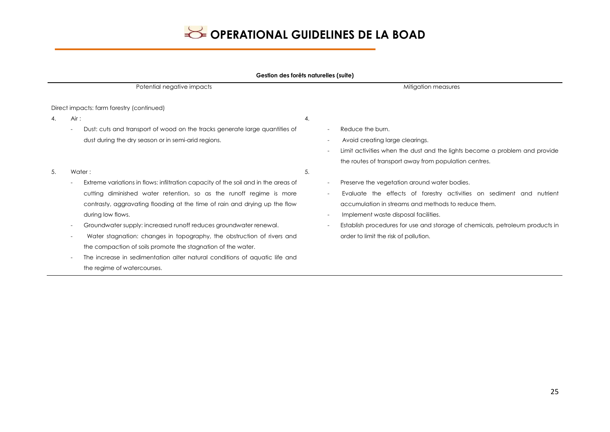|  | Gestion des forêts naturelles (suite) |  |
|--|---------------------------------------|--|
|  |                                       |  |

| Potential negative impacts |                                                                                    | Mitigation measures                                                          |
|----------------------------|------------------------------------------------------------------------------------|------------------------------------------------------------------------------|
|                            | Direct impacts: farm forestry (continued)                                          |                                                                              |
| 4.                         | Air:                                                                               | 4.                                                                           |
|                            | Dust: cuts and transport of wood on the tracks generate large quantities of        | Reduce the burn.                                                             |
|                            | dust during the dry season or in semi-arid regions.                                | Avoid creating large clearings.                                              |
|                            |                                                                                    | Limit activities when the dust and the lights become a problem and provide   |
|                            |                                                                                    | the routes of transport away from population centres.                        |
| 5.                         | Water:                                                                             | 5.                                                                           |
|                            | Extreme variations in flows: infiltration capacity of the soil and in the areas of | Preserve the vegetation around water bodies.                                 |
|                            | cutting diminished water retention, so as the runoff regime is more                | Evaluate the effects of forestry activities on sediment and nutrient         |
|                            | contrasty, aggravating flooding at the time of rain and drying up the flow         | accumulation in streams and methods to reduce them.                          |
|                            | during low flows.                                                                  | Implement waste disposal facilities.                                         |
|                            | Groundwater supply: increased runoff reduces groundwater renewal.                  | Establish procedures for use and storage of chemicals, petroleum products in |
|                            | Water stagnation: changes in topography, the obstruction of rivers and             | order to limit the risk of pollution.                                        |
|                            | the compaction of soils promote the stagnation of the water.                       |                                                                              |
|                            | The increase in sedimentation alter natural conditions of aquatic life and         |                                                                              |
|                            | the regime of watercourses.                                                        |                                                                              |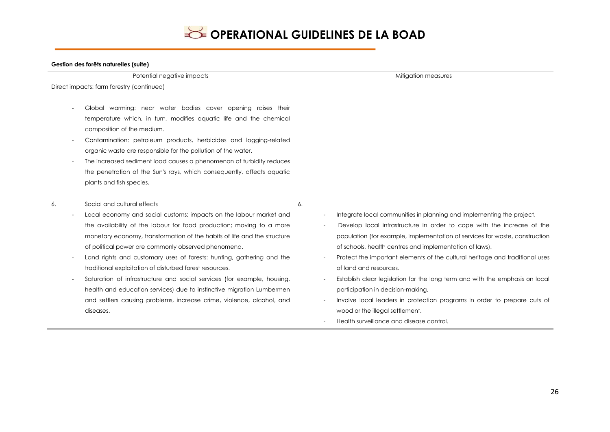6.

#### **Gestion des forêts naturelles (suite)**

Potential negative impacts and the state of the state of the state of the Mitigation measures of the Mitigation measures

Direct impacts: farm forestry (continued)

- Global warming: near water bodies cover opening raises their temperature which, in turn, modifies aquatic life and the chemical composition of the medium.
- Contamination: petroleum products, herbicides and logging-related organic waste are responsible for the pollution of the water.
- The increased sediment load causes a phenomenon of turbidity reduces the penetration of the Sun's rays, which consequently, affects aquatic plants and fish species.
- 6. Social and cultural effects
	- Local economy and social customs: impacts on the labour market and the availability of the labour for food production; moving to a more monetary economy, transformation of the habits of life and the structure of political power are commonly observed phenomena.
	- Land rights and customary uses of forests: hunting, gathering and the traditional exploitation of disturbed forest resources.
	- Saturation of infrastructure and social services (for example, housing, health and education services) due to instinctive migration Lumbermen and settlers causing problems, increase crime, violence, alcohol, and diseases.
- Integrate local communities in planning and implementing the project.
- Develop local infrastructure in order to cope with the increase of the population (for example, implementation of services for waste, construction of schools, health centres and implementation of laws).
- Protect the important elements of the cultural heritage and traditional uses of land and resources.
- Establish clear legislation for the long term and with the emphasis on local participation in decision-making.
- Involve local leaders in protection programs in order to prepare cuts of wood or the illegal settlement.
- Health surveillance and disease control.